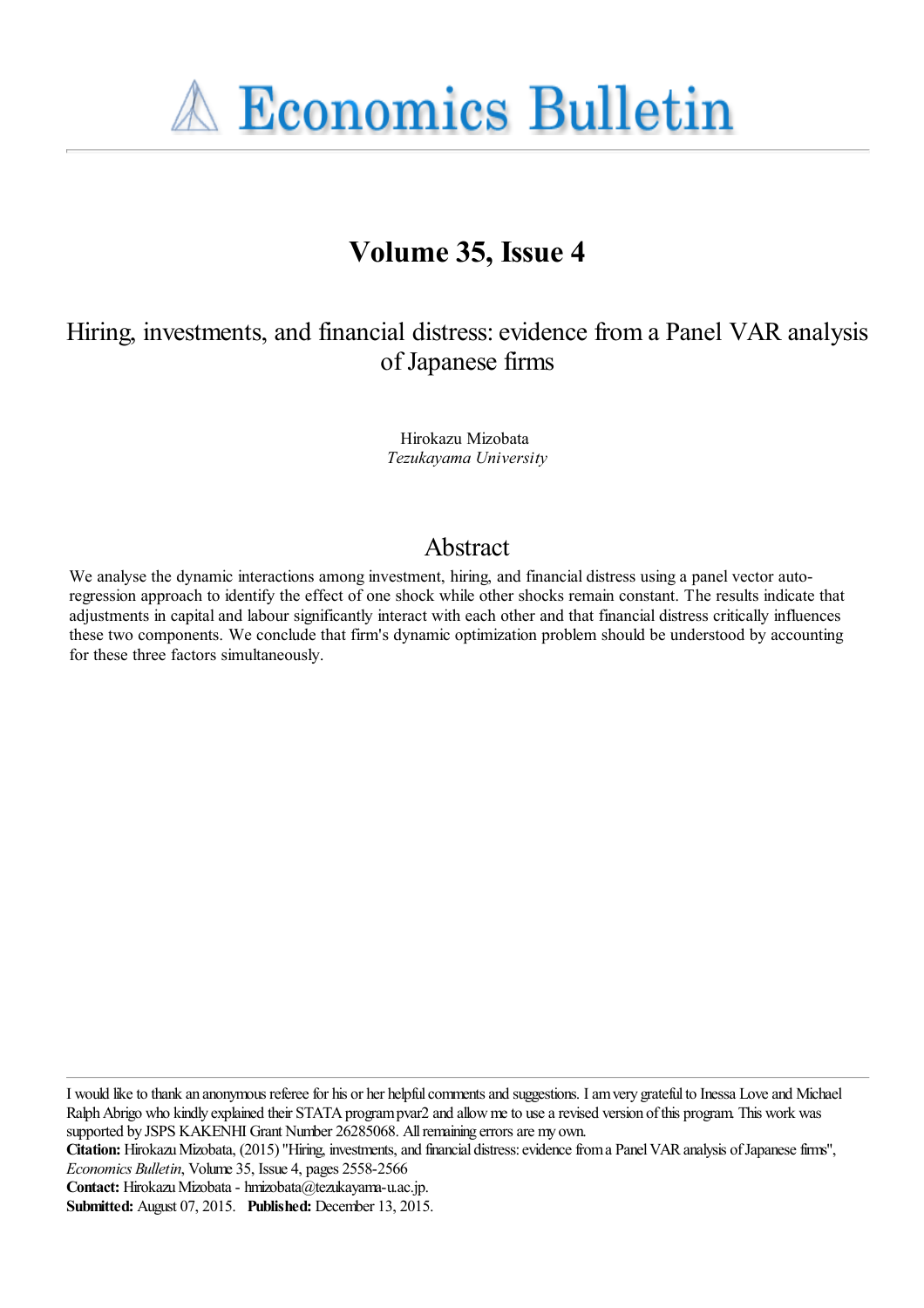**A Economics Bulletin** 

# **Volume 35, Issue 4**

Hiring, investments, and financial distress: evidence from a Panel VAR analysis of Japanese firms

> Hirokazu Mizobata *Tezukayama University*

# Abstract

We analyse the dynamic interactions among investment, hiring, and financial distress using a panel vector autoregression approach to identify the effect of one shock while other shocks remain constant. The results indicate that adjustments in capital and labour significantly interact with each other and that financial distress critically influences these two components. We conclude that firm's dynamic optimization problem should be understood by accounting for these three factors simultaneously.

I would like to thank an anonymous referee for his or her helpful comments and suggestions. I am very grateful to Inessa Love and Michael Ralph Abrigo who kindly explained their STATA program pvar2 and allow me to use a revised version of this program. This work was supported by JSPS KAKENHI Grant Number 26285068. All remaining errors are my own.

**Citation:** Hirokazu Mizobata, (2015) ''Hiring, investments, and financial distress: evidence from a Panel VAR analysis of Japanese firms'', *Economics Bulletin*, Volume 35, Issue 4, pages 2558-2566

**Contact:** Hirokazu Mizobata - hmizobata@tezukayama-u.ac.jp.

**Submitted:** August 07, 2015. **Published:** December 13, 2015.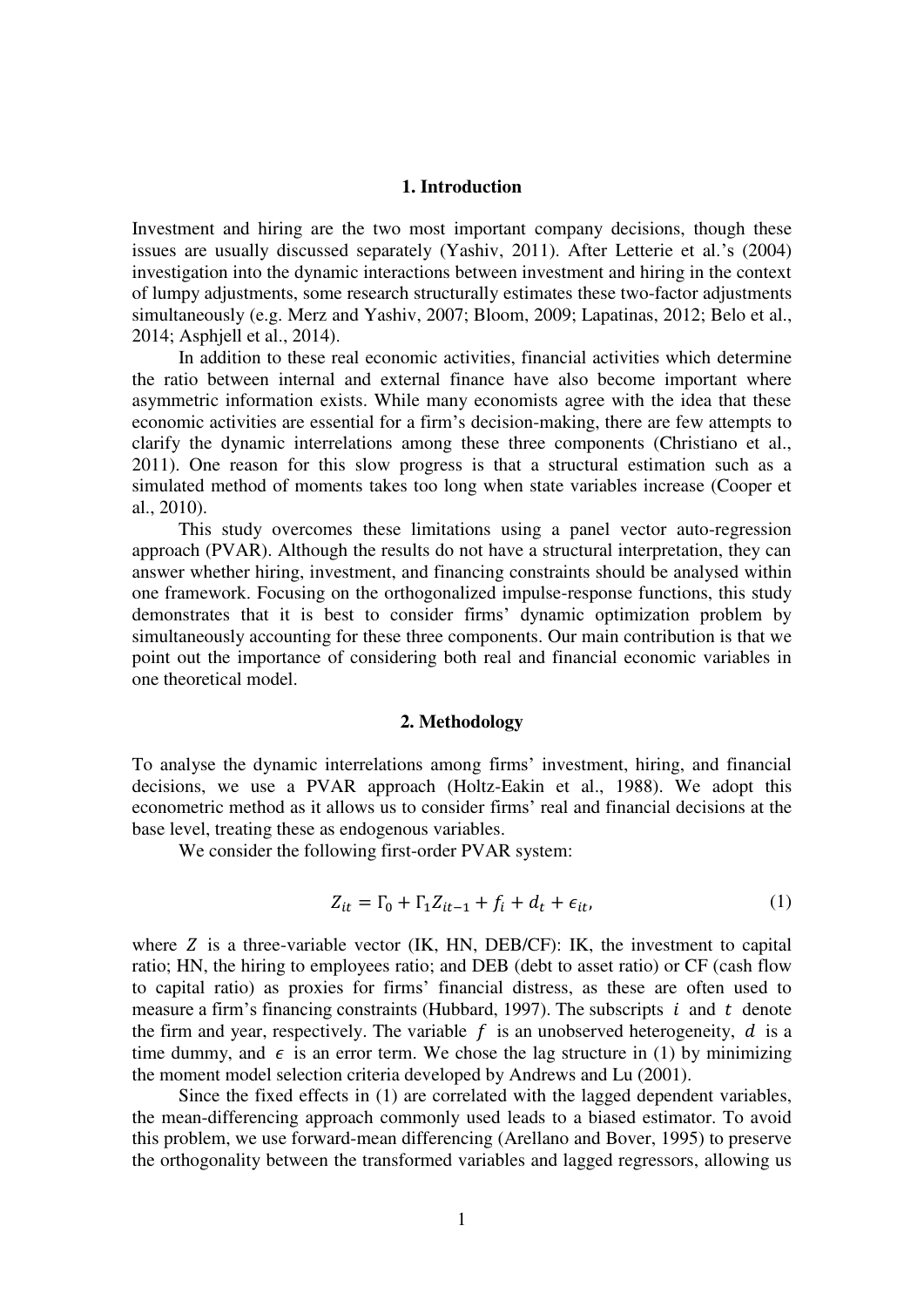## **1. Introduction**

Investment and hiring are the two most important company decisions, though these issues are usually discussed separately (Yashiv, 2011). After Letterie et al.'s (2004) investigation into the dynamic interactions between investment and hiring in the context of lumpy adjustments, some research structurally estimates these two-factor adjustments simultaneously (e.g. Merz and Yashiv, 2007; Bloom, 2009; Lapatinas, 2012; Belo et al., 2014; Asphjell et al., 2014).

In addition to these real economic activities, financial activities which determine the ratio between internal and external finance have also become important where asymmetric information exists. While many economists agree with the idea that these economic activities are essential for a firm's decision-making, there are few attempts to clarify the dynamic interrelations among these three components (Christiano et al., 2011). One reason for this slow progress is that a structural estimation such as a simulated method of moments takes too long when state variables increase (Cooper et al., 2010).

This study overcomes these limitations using a panel vector auto-regression approach (PVAR). Although the results do not have a structural interpretation, they can answer whether hiring, investment, and financing constraints should be analysed within one framework. Focusing on the orthogonalized impulse-response functions, this study demonstrates that it is best to consider firms' dynamic optimization problem by simultaneously accounting for these three components. Our main contribution is that we point out the importance of considering both real and financial economic variables in one theoretical model.

#### **2. Methodology**

To analyse the dynamic interrelations among firms' investment, hiring, and financial decisions, we use a PVAR approach (Holtz-Eakin et al., 1988). We adopt this econometric method as it allows us to consider firms' real and financial decisions at the base level, treating these as endogenous variables.

We consider the following first-order PVAR system:

$$
Z_{it} = \Gamma_0 + \Gamma_1 Z_{it-1} + f_i + d_t + \epsilon_{it}, \tag{1}
$$

where  $Z$  is a three-variable vector (IK, HN, DEB/CF): IK, the investment to capital ratio; HN, the hiring to employees ratio; and DEB (debt to asset ratio) or CF (cash flow to capital ratio) as proxies for firms' financial distress, as these are often used to measure a firm's financing constraints (Hubbard, 1997). The subscripts  $i$  and  $t$  denote the firm and year, respectively. The variable  $f$  is an unobserved heterogeneity,  $d$  is a time dummy, and  $\epsilon$  is an error term. We chose the lag structure in (1) by minimizing the moment model selection criteria developed by Andrews and Lu (2001).

Since the fixed effects in (1) are correlated with the lagged dependent variables, the mean-differencing approach commonly used leads to a biased estimator. To avoid this problem, we use forward-mean differencing (Arellano and Bover, 1995) to preserve the orthogonality between the transformed variables and lagged regressors, allowing us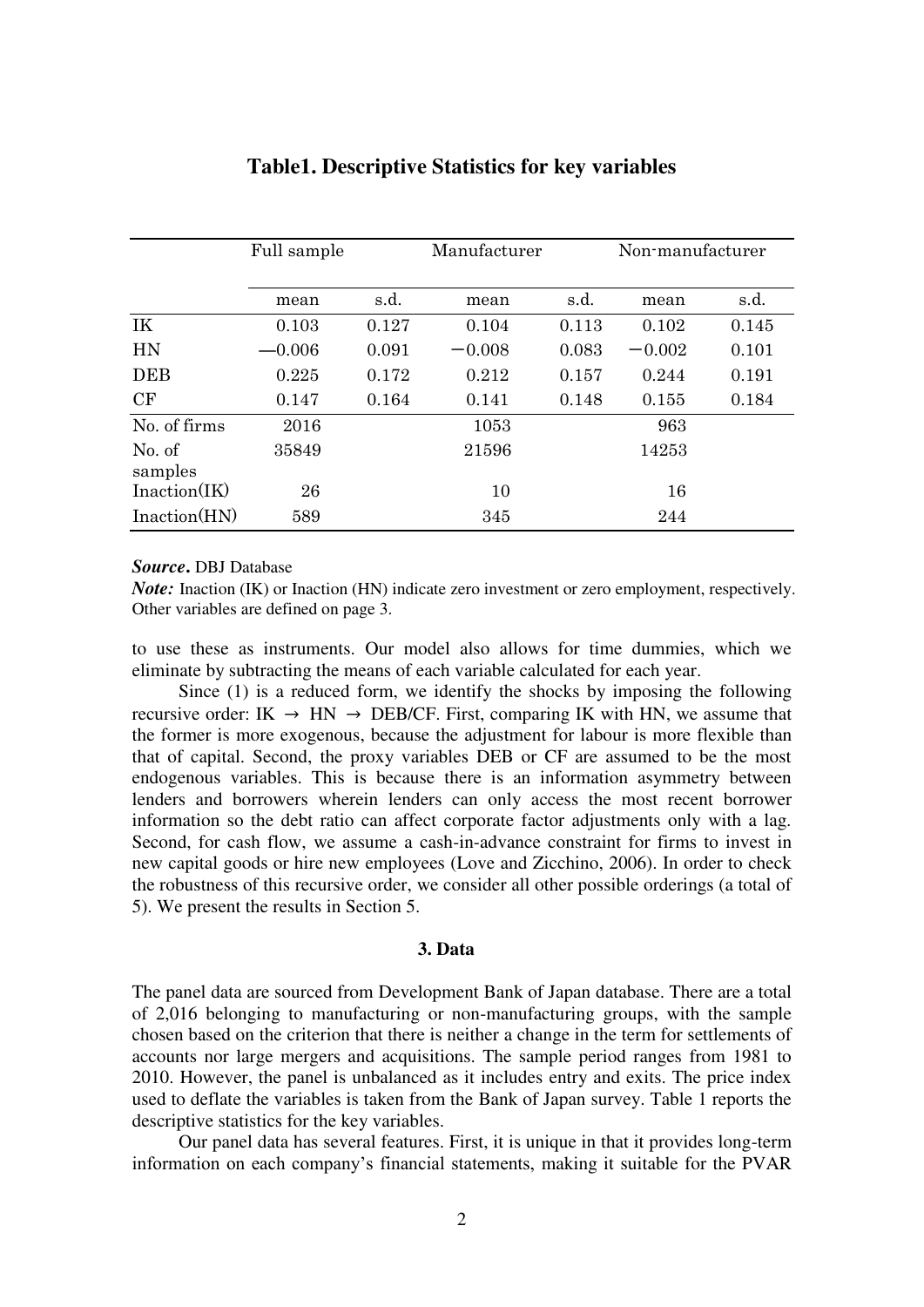|                   | Full sample |       | Manufacturer |       | Non-manufacturer |       |
|-------------------|-------------|-------|--------------|-------|------------------|-------|
|                   | mean        | s.d.  | mean         | s.d.  | mean             | s.d.  |
| IK                | 0.103       | 0.127 | 0.104        | 0.113 | 0.102            | 0.145 |
| HN                | $-0.006$    | 0.091 | $-0.008$     | 0.083 | $-0.002$         | 0.101 |
| <b>DEB</b>        | 0.225       | 0.172 | 0.212        | 0.157 | 0.244            | 0.191 |
| CF                | 0.147       | 0.164 | 0.141        | 0.148 | 0.155            | 0.184 |
| No. of firms      | 2016        |       | 1053         |       | 963              |       |
| No. of<br>samples | 35849       |       | 21596        |       | 14253            |       |
| Inaction(IK)      | 26          |       | 16<br>10     |       |                  |       |
| Inaction(HN)      | 589         |       | 345          |       | 244              |       |

## **Table1. Descriptive Statistics for key variables**

## *Source***.** DBJ Database

*Note:* Inaction (IK) or Inaction (HN) indicate zero investment or zero employment, respectively. Other variables are defined on page 3.

to use these as instruments. Our model also allows for time dummies, which we eliminate by subtracting the means of each variable calculated for each year.

Since (1) is a reduced form, we identify the shocks by imposing the following recursive order: IK  $\rightarrow$  HN  $\rightarrow$  DEB/CF. First, comparing IK with HN, we assume that the former is more exogenous, because the adjustment for labour is more flexible than that of capital. Second, the proxy variables DEB or CF are assumed to be the most endogenous variables. This is because there is an information asymmetry between lenders and borrowers wherein lenders can only access the most recent borrower information so the debt ratio can affect corporate factor adjustments only with a lag. Second, for cash flow, we assume a cash-in-advance constraint for firms to invest in new capital goods or hire new employees (Love and Zicchino, 2006). In order to check the robustness of this recursive order, we consider all other possible orderings (a total of 5). We present the results in Section 5.

## **3. Data**

The panel data are sourced from Development Bank of Japan database. There are a total of 2,016 belonging to manufacturing or non-manufacturing groups, with the sample chosen based on the criterion that there is neither a change in the term for settlements of accounts nor large mergers and acquisitions. The sample period ranges from 1981 to 2010. However, the panel is unbalanced as it includes entry and exits. The price index used to deflate the variables is taken from the Bank of Japan survey. Table 1 reports the descriptive statistics for the key variables.

Our panel data has several features. First, it is unique in that it provides long-term information on each company's financial statements, making it suitable for the PVAR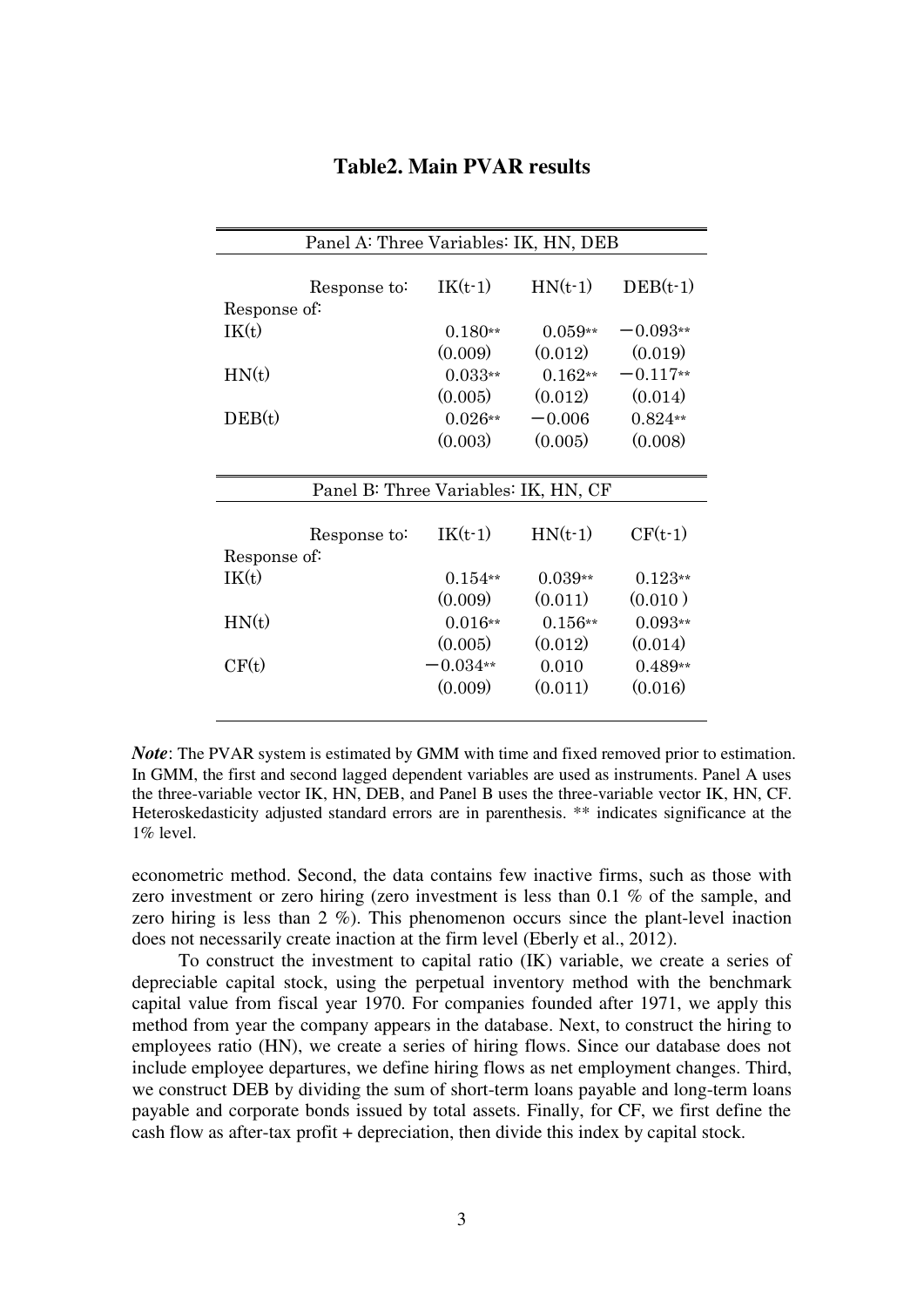| Panel A: Three Variables: IK, HN, DEB |           |           |            |  |  |  |  |
|---------------------------------------|-----------|-----------|------------|--|--|--|--|
|                                       |           |           |            |  |  |  |  |
| Response to:                          | $IK(t-1)$ | $HN(t-1)$ | $DEB(t-1)$ |  |  |  |  |
| Response of:                          |           |           |            |  |  |  |  |
| IK(t)                                 | $0.180**$ | $0.059**$ | $-0.093**$ |  |  |  |  |
|                                       | (0.009)   | (0.012)   | (0.019)    |  |  |  |  |
| HN(t)                                 | $0.033**$ | $0.162**$ | $-0.117**$ |  |  |  |  |
|                                       | (0.005)   | (0.012)   | (0.014)    |  |  |  |  |
| DEB(t)                                | $0.026**$ | $-0.006$  | $0.824**$  |  |  |  |  |
|                                       | (0.003)   | (0.005)   | (0.008)    |  |  |  |  |
|                                       |           |           |            |  |  |  |  |
| Panel B: Three Variables: IK, HN, CF  |           |           |            |  |  |  |  |
|                                       |           |           |            |  |  |  |  |
| Response to:                          | $IK(t-1)$ | $HN(t-1)$ | $CF(t-1)$  |  |  |  |  |
| Response of:                          |           |           |            |  |  |  |  |
| IK(t)                                 | $0.154**$ | $0.039**$ | $0.123**$  |  |  |  |  |
|                                       | (0.009)   | (0.011)   | (0.010)    |  |  |  |  |
| HN(t)                                 | $0.016**$ | $0.156**$ | $0.093**$  |  |  |  |  |
|                                       | (0.005)   | (0.012)   | (0.014)    |  |  |  |  |
| CF(t)                                 | $0.034**$ | 0.010     | $0.489**$  |  |  |  |  |
|                                       | (0.009)   | (0.011)   | (0.016)    |  |  |  |  |
|                                       |           |           |            |  |  |  |  |

## **Table2. Main PVAR results**

*Note*: The PVAR system is estimated by GMM with time and fixed removed prior to estimation. In GMM, the first and second lagged dependent variables are used as instruments. Panel A uses the three-variable vector IK, HN, DEB, and Panel B uses the three-variable vector IK, HN, CF. Heteroskedasticity adjusted standard errors are in parenthesis. \*\* indicates significance at the 1% level.

econometric method. Second, the data contains few inactive firms, such as those with zero investment or zero hiring (zero investment is less than 0.1 % of the sample, and zero hiring is less than 2 %). This phenomenon occurs since the plant-level inaction does not necessarily create inaction at the firm level (Eberly et al., 2012).

To construct the investment to capital ratio (IK) variable, we create a series of depreciable capital stock, using the perpetual inventory method with the benchmark capital value from fiscal year 1970. For companies founded after 1971, we apply this method from year the company appears in the database. Next, to construct the hiring to employees ratio (HN), we create a series of hiring flows. Since our database does not include employee departures, we define hiring flows as net employment changes. Third, we construct DEB by dividing the sum of short-term loans payable and long-term loans payable and corporate bonds issued by total assets. Finally, for CF, we first define the cash flow as after-tax profit + depreciation, then divide this index by capital stock.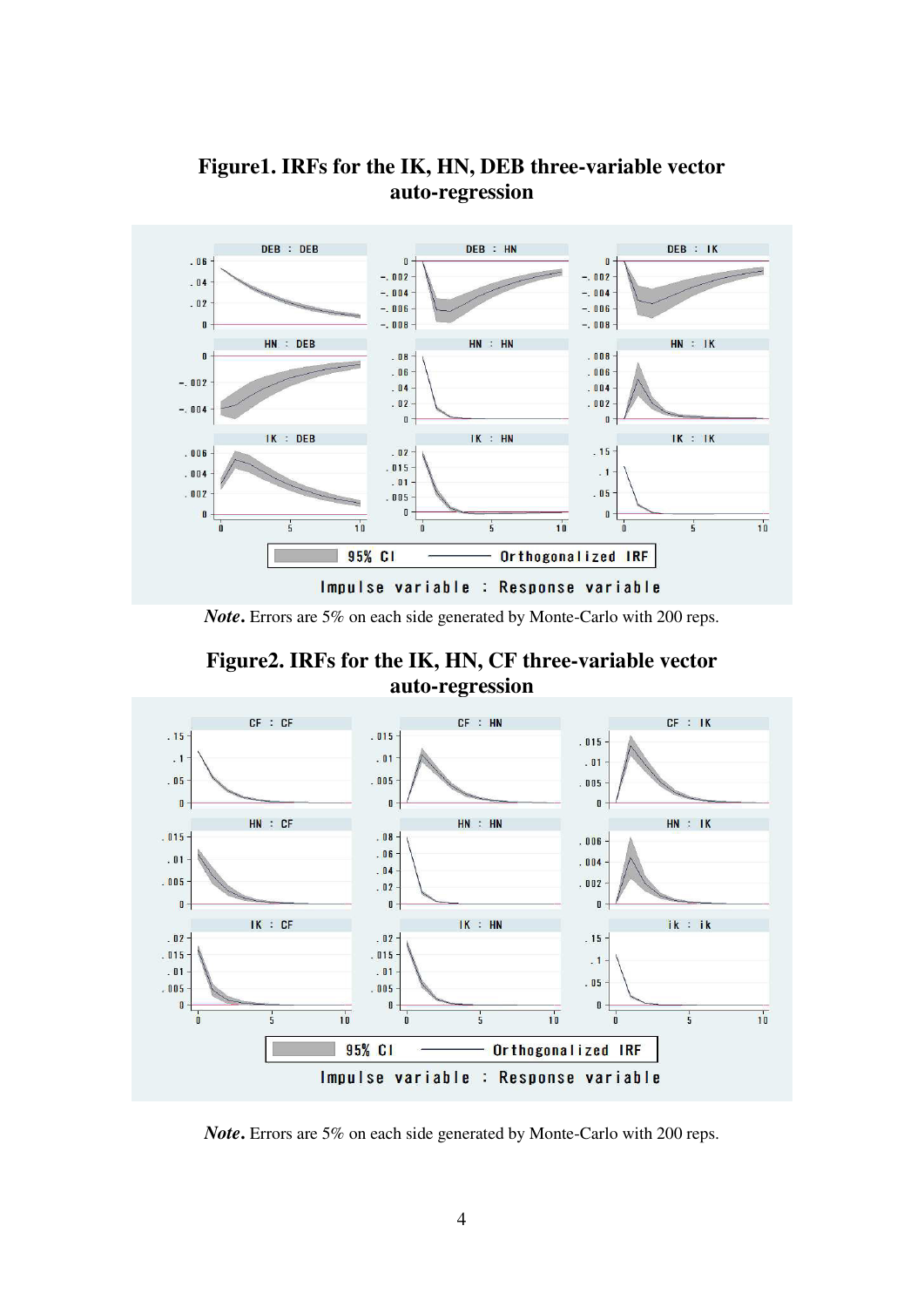

# **Figure1. IRFs for the IK, HN, DEB three-variable vector auto-regression**

*Note***.** Errors are 5% on each side generated by Monte-Carlo with 200 reps.

**Figure2. IRFs for the IK, HN, CF three-variable vector auto-regression** 



*Note***.** Errors are 5% on each side generated by Monte-Carlo with 200 reps.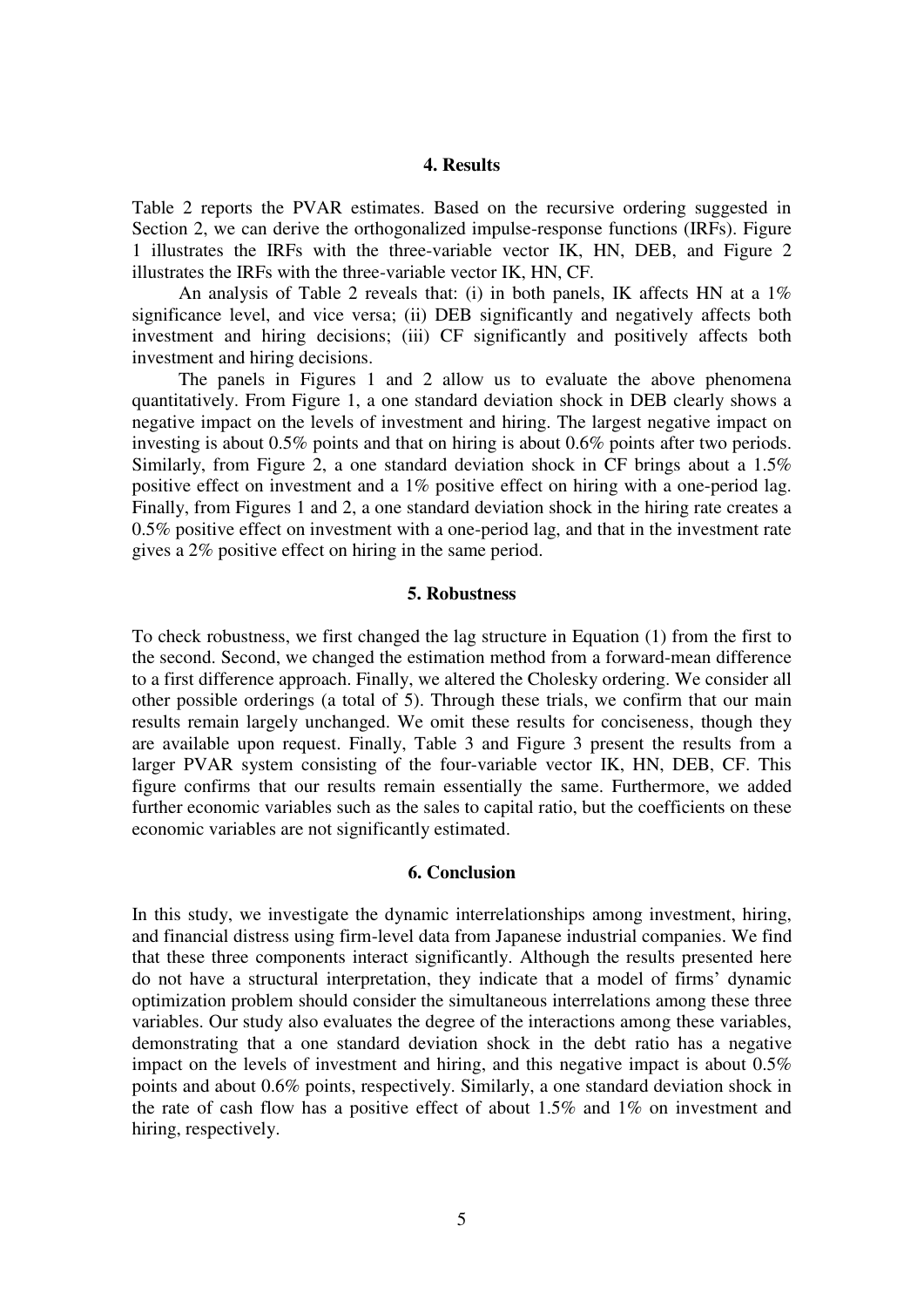#### **4. Results**

Table 2 reports the PVAR estimates. Based on the recursive ordering suggested in Section 2, we can derive the orthogonalized impulse-response functions (IRFs). Figure 1 illustrates the IRFs with the three-variable vector IK, HN, DEB, and Figure 2 illustrates the IRFs with the three-variable vector IK, HN, CF.

An analysis of Table 2 reveals that: (i) in both panels, IK affects HN at a 1% significance level, and vice versa; (ii) DEB significantly and negatively affects both investment and hiring decisions; (iii) CF significantly and positively affects both investment and hiring decisions.

The panels in Figures 1 and 2 allow us to evaluate the above phenomena quantitatively. From Figure 1, a one standard deviation shock in DEB clearly shows a negative impact on the levels of investment and hiring. The largest negative impact on investing is about 0.5% points and that on hiring is about 0.6% points after two periods. Similarly, from Figure 2, a one standard deviation shock in CF brings about a 1.5% positive effect on investment and a 1% positive effect on hiring with a one-period lag. Finally, from Figures 1 and 2, a one standard deviation shock in the hiring rate creates a 0.5% positive effect on investment with a one-period lag, and that in the investment rate gives a 2% positive effect on hiring in the same period.

## **5. Robustness**

To check robustness, we first changed the lag structure in Equation (1) from the first to the second. Second, we changed the estimation method from a forward-mean difference to a first difference approach. Finally, we altered the Cholesky ordering. We consider all other possible orderings (a total of 5). Through these trials, we confirm that our main results remain largely unchanged. We omit these results for conciseness, though they are available upon request. Finally, Table 3 and Figure 3 present the results from a larger PVAR system consisting of the four-variable vector IK, HN, DEB, CF. This figure confirms that our results remain essentially the same. Furthermore, we added further economic variables such as the sales to capital ratio, but the coefficients on these economic variables are not significantly estimated.

## **6. Conclusion**

In this study, we investigate the dynamic interrelationships among investment, hiring, and financial distress using firm-level data from Japanese industrial companies. We find that these three components interact significantly. Although the results presented here do not have a structural interpretation, they indicate that a model of firms' dynamic optimization problem should consider the simultaneous interrelations among these three variables. Our study also evaluates the degree of the interactions among these variables, demonstrating that a one standard deviation shock in the debt ratio has a negative impact on the levels of investment and hiring, and this negative impact is about 0.5% points and about 0.6% points, respectively. Similarly, a one standard deviation shock in the rate of cash flow has a positive effect of about 1.5% and 1% on investment and hiring, respectively.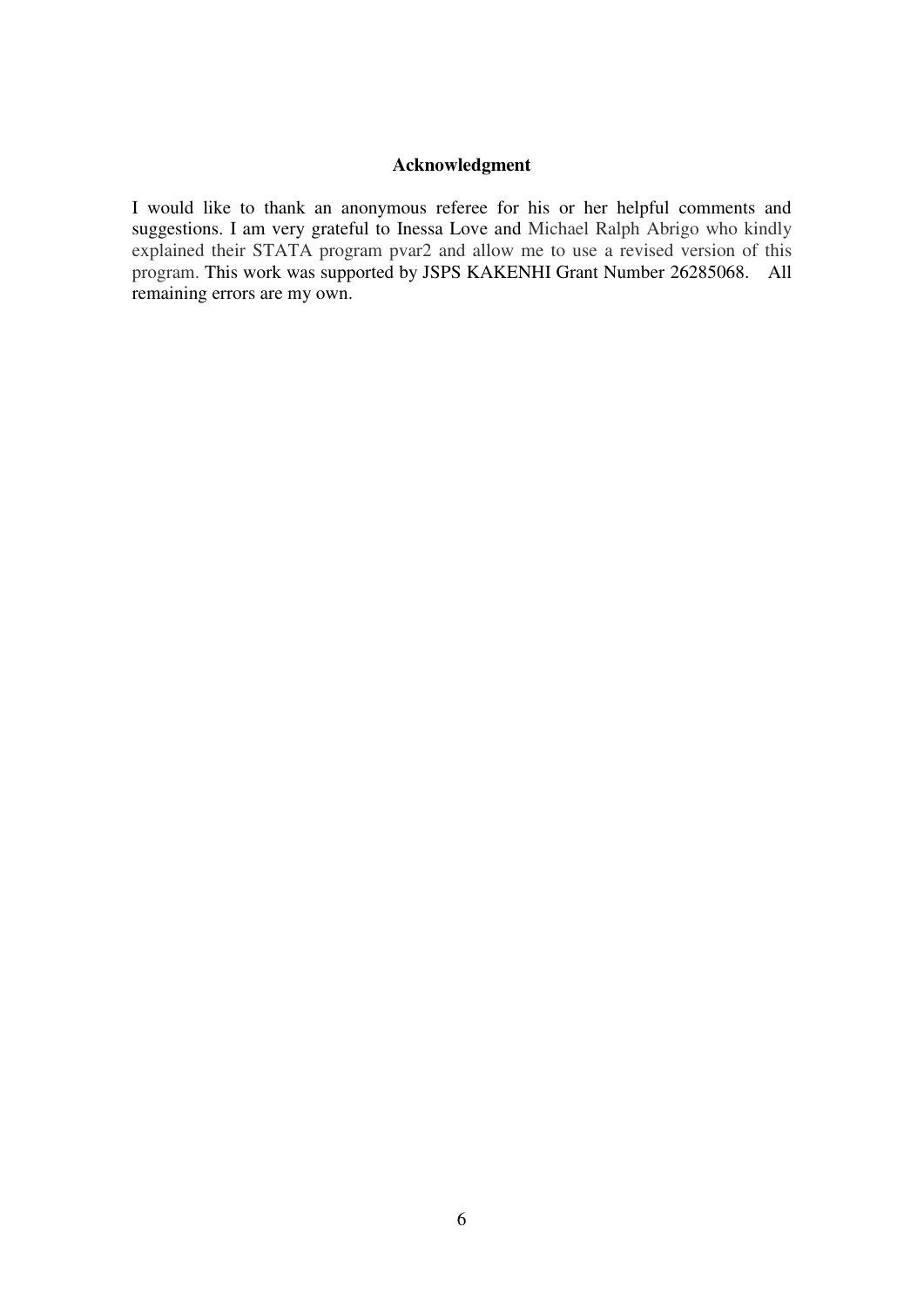## **Acknowledgment**

I would like to thank an anonymous referee for his or her helpful comments and suggestions. I am very grateful to Inessa Love and Michael Ralph Abrigo who kindly explained their STATA program pvar2 and allow me to use a revised version of this program. This work was supported by JSPS KAKENHI Grant Number 26285068. All remaining errors are my own.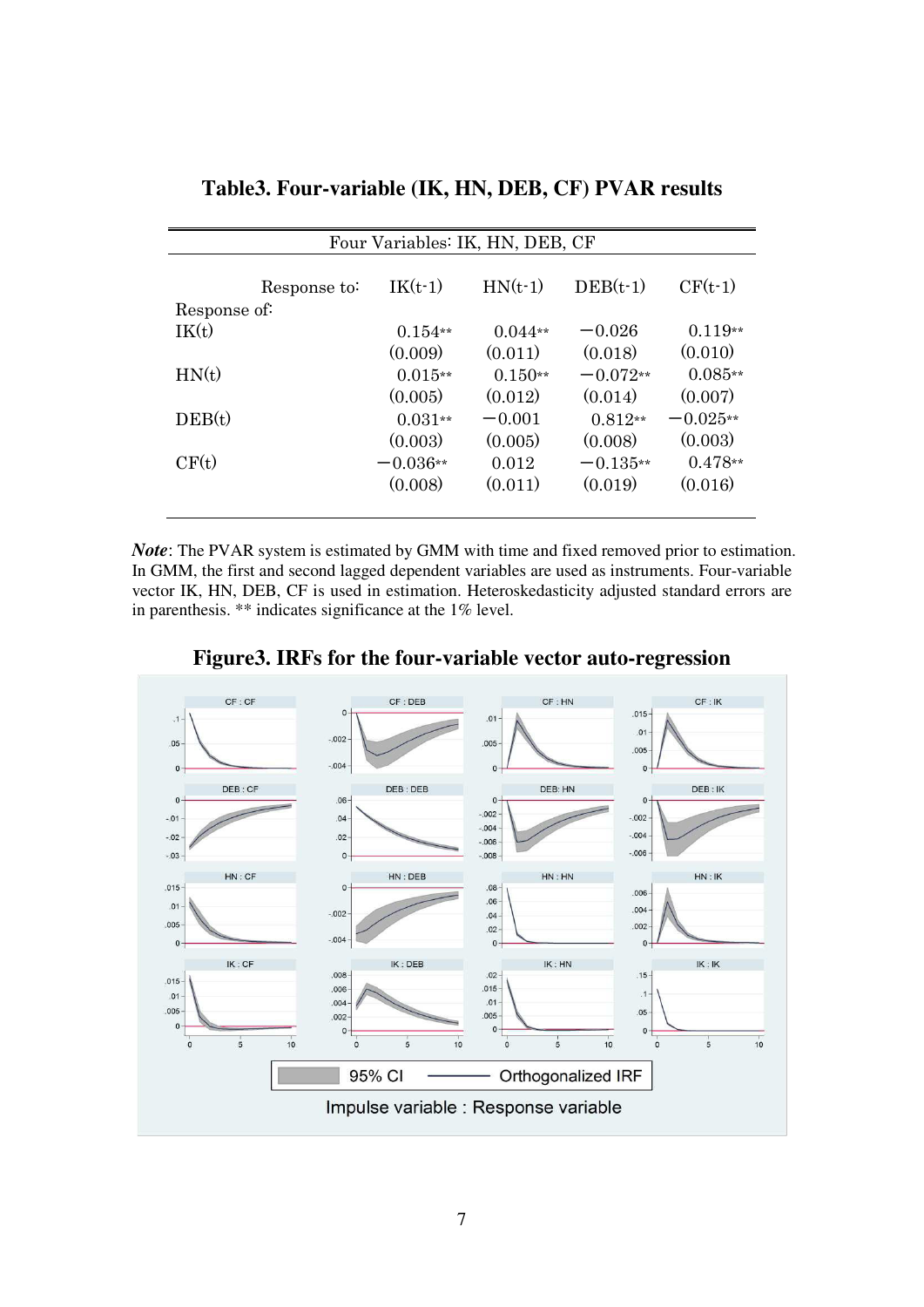| Four Variables: IK, HN, DEB, CF |              |            |           |            |            |  |  |
|---------------------------------|--------------|------------|-----------|------------|------------|--|--|
| Response of:                    | Response to: | $IK(t-1)$  | $HN(t-1)$ | $DEB(t-1)$ | $CF(t-1)$  |  |  |
| IK(t)                           |              | $0.154**$  | $0.044**$ | $-0.026$   | $0.119**$  |  |  |
|                                 |              | (0.009)    | (0.011)   | (0.018)    | (0.010)    |  |  |
| HN(t)                           |              | $0.015**$  | $0.150**$ | $-0.072**$ | $0.085**$  |  |  |
|                                 |              | (0.005)    | (0.012)   | (0.014)    | (0.007)    |  |  |
| DEB(t)                          |              | $0.031**$  | $-0.001$  | $0.812**$  | $-0.025**$ |  |  |
|                                 |              | (0.003)    | (0.005)   | (0.008)    | (0.003)    |  |  |
| CF(t)                           |              | $-0.036**$ | 0.012     | $-0.135**$ | $0.478**$  |  |  |
|                                 |              | (0.008)    | (0.011)   | (0.019)    | (0.016)    |  |  |
|                                 |              |            |           |            |            |  |  |

**Table3. Four-variable (IK, HN, DEB, CF) PVAR results** 

*Note*: The PVAR system is estimated by GMM with time and fixed removed prior to estimation. In GMM, the first and second lagged dependent variables are used as instruments. Four-variable vector IK, HN, DEB, CF is used in estimation. Heteroskedasticity adjusted standard errors are in parenthesis. \*\* indicates significance at the 1% level.



**Figure3. IRFs for the four-variable vector auto-regression**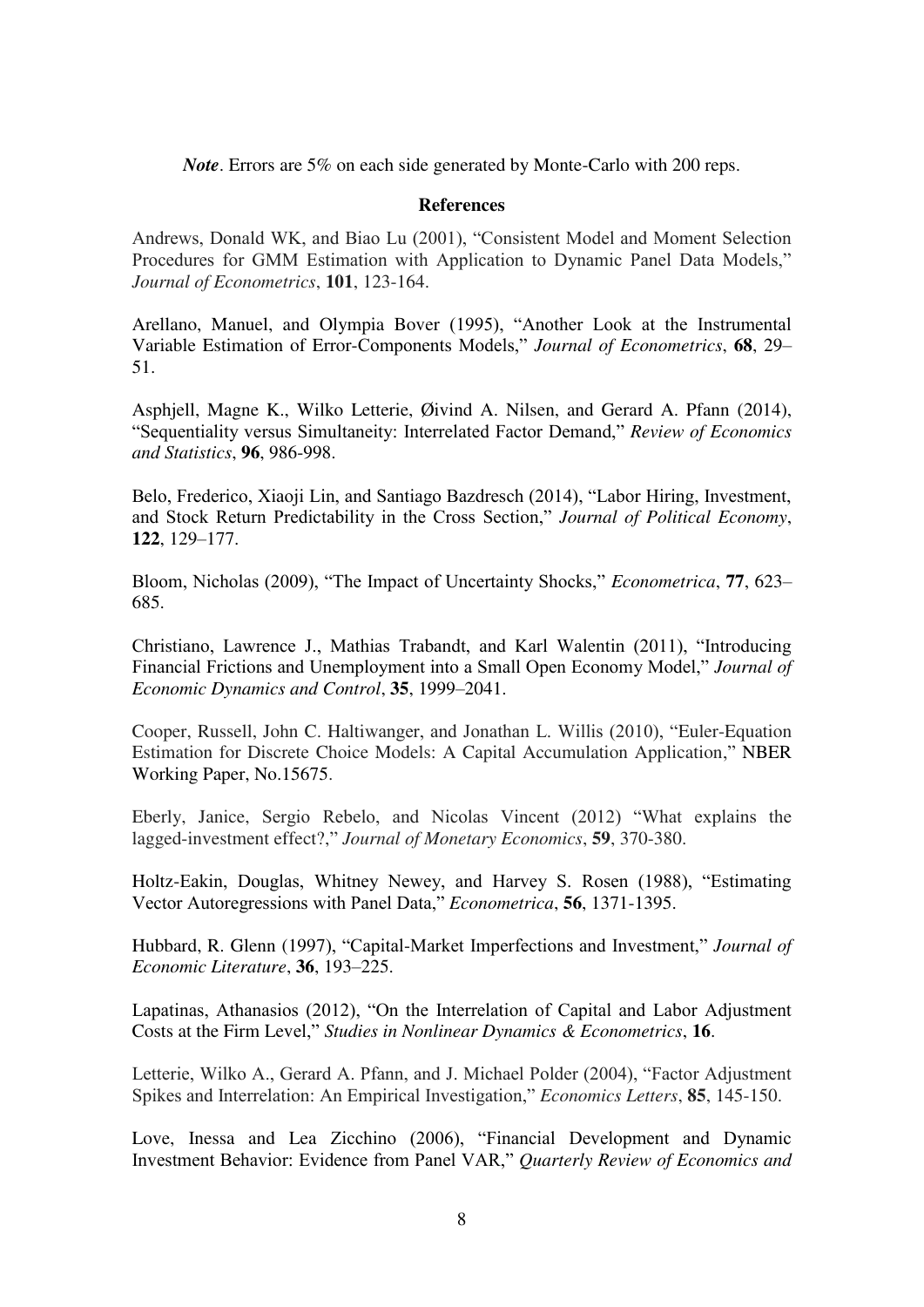*Note*. Errors are 5% on each side generated by Monte-Carlo with 200 reps.

## **References**

Andrews, Donald WK, and Biao Lu (2001), "Consistent Model and Moment Selection Procedures for GMM Estimation with Application to Dynamic Panel Data Models," *Journal of Econometrics*, **101**, 123-164.

Arellano, Manuel, and Olympia Bover (1995), "Another Look at the Instrumental Variable Estimation of Error-Components Models," *Journal of Econometrics*, **68**, 29– 51.

Asphjell, Magne K., Wilko Letterie, Øivind A. Nilsen, and Gerard A. Pfann (2014), "Sequentiality versus Simultaneity: Interrelated Factor Demand," *Review of Economics and Statistics*, **96**, 986-998.

Belo, Frederico, Xiaoji Lin, and Santiago Bazdresch (2014), "Labor Hiring, Investment, and Stock Return Predictability in the Cross Section," *Journal of Political Economy*, **122**, 129–177.

Bloom, Nicholas (2009), "The Impact of Uncertainty Shocks," *Econometrica*, **77**, 623– 685.

Christiano, Lawrence J., Mathias Trabandt, and Karl Walentin (2011), "Introducing Financial Frictions and Unemployment into a Small Open Economy Model," *Journal of Economic Dynamics and Control*, **35**, 1999–2041.

Cooper, Russell, John C. Haltiwanger, and Jonathan L. Willis (2010), "Euler-Equation Estimation for Discrete Choice Models: A Capital Accumulation Application," NBER Working Paper, No.15675.

Eberly, Janice, Sergio Rebelo, and Nicolas Vincent (2012) "What explains the lagged-investment effect?," *Journal of Monetary Economics*, **59**, 370-380.

Holtz-Eakin, Douglas, Whitney Newey, and Harvey S. Rosen (1988), "Estimating Vector Autoregressions with Panel Data," *Econometrica*, **56**, 1371-1395.

Hubbard, R. Glenn (1997), "Capital-Market Imperfections and Investment," *Journal of Economic Literature*, **36**, 193–225.

Lapatinas, Athanasios (2012), "On the Interrelation of Capital and Labor Adjustment Costs at the Firm Level," *Studies in Nonlinear Dynamics & Econometrics*, **16**.

Letterie, Wilko A., Gerard A. Pfann, and J. Michael Polder (2004), "Factor Adjustment Spikes and Interrelation: An Empirical Investigation," *Economics Letters*, **85**, 145-150.

Love, Inessa and Lea Zicchino (2006), "Financial Development and Dynamic Investment Behavior: Evidence from Panel VAR," *Quarterly Review of Economics and*